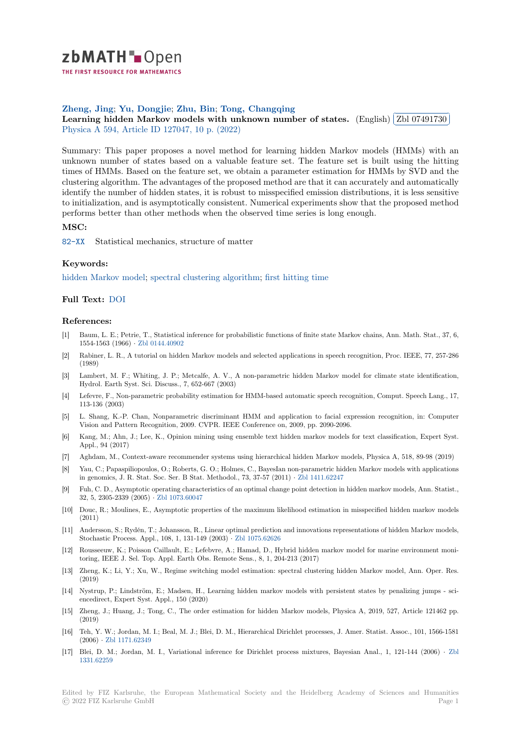

THE FIRST RESOURCE FOR MATHEMATICS

# **Zheng, Jing**; **Yu, Dongjie**; **Zhu, Bin**; **Tong, Changqing**

zneng, Jing; 1u, Dongjie; 2nu, Bin; 1ong, Changqing<br>[L](https://zbmath.org/)earning hidden Markov models with unknown number of states. (English) **[** ✂ Zbl 07491730 Ĭ. Į. Physica A 594, Article ID 127047, 10 p. (2022)

[Summary: Th](https://zbmath.org/authors/?q=ai:zheng.jing)i[s paper propo](https://zbmath.org/authors/?q=ai:yu.dongjie)s[es a novel](https://zbmath.org/authors/?q=ai:zhu.bin.1%7Czhu.bin.5%7Czhu.bin.7%7Czhu.bin.4%7Czhu.bin.6) [method for learning](https://zbmath.org/authors/?q=ai:tong.changqing) hidden Markov models (HMMs) with an [unknown number of states based on a valuable feature set. The feature s](https://zbmath.org/07491730)et is built [using the hittin](https://zbmath.org/07491730)g [times of H](https://zbmath.org/journals/?q=se:179)[MMs. Based on the feature set, we o](https://zbmath.org/?q=in:478527)btain a parameter estimation for HMMs by SVD and the clustering algorithm. The advantages of the proposed method are that it can accurately and automatically identify the number of hidden states, it is robust to misspecified emission distributions, it is less sensitive to initialization, and is asymptotically consistent. Numerical experiments show that the proposed method performs better than other methods when the observed time series is long enough.

## **MSC:**

82-XX Statistical mechanics, structure of matter

## **Keywords:**

[hidden](https://zbmath.org/classification/?q=cc:82-XX) Markov model; spectral clustering algorithm; first hitting time

## **Full Text:** DOI

#### **[References:](https://zbmath.org/?q=ut:hidden+Markov+model)**

- [1] Baum, L. E.; Petrie, T., Statistical inference for probabilistic functions of finite state Markov chains, Ann. Math. Stat., 37, 6, 1554-156[3 \(196](https://dx.doi.org/10.1016/j.physa.2022.127047)6) *·* Zbl 0144.40902
- [2] Rabiner, L. R., A tutorial on hidden Markov models and selected applications in speech recognition, Proc. IEEE, 77, 257-286 (1989)
- [3] Lambert, M. F.; Whiting, J. P.; Metcalfe, A. V., A non-parametric hidden Markov model for climate state identification, Hydrol. Earth Syst[. Sci. Discuss., 7](https://zbmath.org/0144.40902), 652-667 (2003)
- [4] Lefevre, F., Non-parametric probability estimation for HMM-based automatic speech recognition, Comput. Speech Lang., 17, 113-136 (2003)
- [5] L. Shang, K.-P. Chan, Nonparametric discriminant HMM and application to facial expression recognition, in: Computer Vision and Pattern Recognition, 2009. CVPR. IEEE Conference on, 2009, pp. 2090-2096.
- [6] Kang, M.; Ahn, J.; Lee, K., Opinion mining using ensemble text hidden markov models for text classification, Expert Syst. Appl., 94 (2017)
- [7] Aghdam, M., Context-aware recommender systems using hierarchical hidden Markov models, Physica A, 518, 89-98 (2019)
- [8] Yau, C.; Papaspiliopoulos, O.; Roberts, G. O.; Holmes, C., BayesIan non-parametric hidden Markov models with applications in genomics, J. R. Stat. Soc. Ser. B Stat. Methodol., 73, 37-57 (2011) *·* Zbl 1411.62247
- [9] Fuh, C. D., Asymptotic operating characteristics of an optimal change point detection in hidden markov models, Ann. Statist., 32, 5, 2305-2339 (2005) *·* Zbl 1073.60047
- [10] Douc, R.; Moulines, E., Asymptotic properties of the maximum likelihood estimation in misspecified hidden markov models (2011)
- [11] Andersson, S.; Rydén, T.; Johansson, R., Linear optimal prediction and innovations representations of hidden Markov models, Stochastic Process. Appl[., 108, 1, 131-14](https://zbmath.org/1073.60047)9 (2003) *·* Zbl 1075.62626
- [12] Rousseeuw, K.; Poisson Caillault, E.; Lefebvre, A.; Hamad, D., Hybrid hidden markov model for marine environment monitoring, IEEE J. Sel. Top. Appl. Earth Obs. Remote Sens., 8, 1, 204-213 (2017)
- [13] Zheng, K.; Li, Y.; Xu, W., Regime switching model estimation: spectral clustering hidden Markov model, Ann. Oper. Res. (2019)
- [14] Nystrup, P.; Lindström, E.; Madsen, H., Learning hidden markov models with persistent states by penalizing jumps sciencedirect, Expert Syst. Appl., 150 (2020)
- [15] Zheng, J.; Huang, J.; Tong, C., The order estimation for hidden Markov models, Physica A, 2019, 527, Article 121462 pp. (2019)
- [16] Teh, Y. W.; Jordan, M. I.; Beal, M. J.; Blei, D. M., Hierarchical Dirichlet processes, J. Amer. Statist. Assoc., 101, 1566-1581 (2006) *·* Zbl 1171.62349
- [17] Blei, D. M.; Jordan, M. I., Variational inference for Dirichlet process mixtures, Bayesian Anal., 1, 121-144 (2006) *·* Zbl 1331.62259